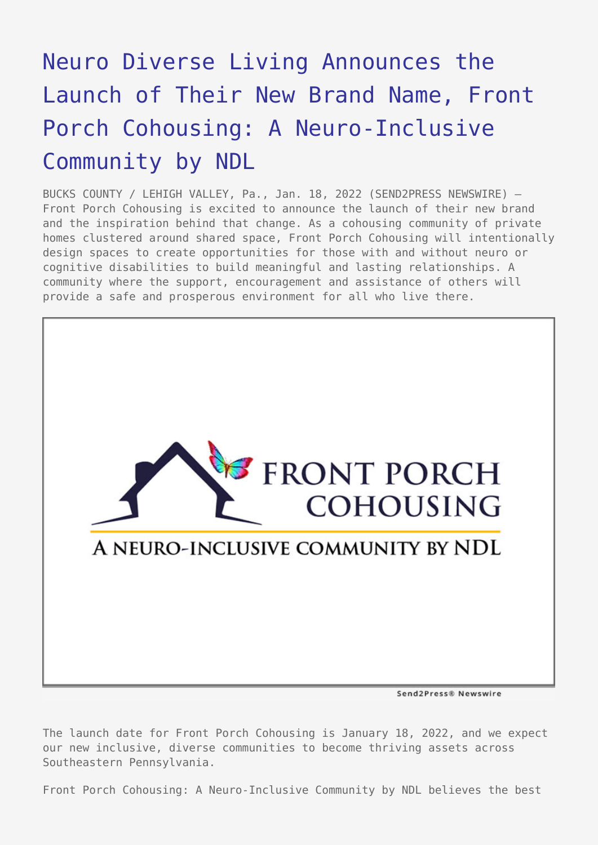## [Neuro Diverse Living Announces the](https://www.send2press.com/wire/neuro-diverse-living-announces-the-launch-of-their-new-brand-name-front-porch-cohousing-a-neuro-inclusive-community-by-ndl/) [Launch of Their New Brand Name, Front](https://www.send2press.com/wire/neuro-diverse-living-announces-the-launch-of-their-new-brand-name-front-porch-cohousing-a-neuro-inclusive-community-by-ndl/) [Porch Cohousing: A Neuro-Inclusive](https://www.send2press.com/wire/neuro-diverse-living-announces-the-launch-of-their-new-brand-name-front-porch-cohousing-a-neuro-inclusive-community-by-ndl/) [Community by NDL](https://www.send2press.com/wire/neuro-diverse-living-announces-the-launch-of-their-new-brand-name-front-porch-cohousing-a-neuro-inclusive-community-by-ndl/)

BUCKS COUNTY / LEHIGH VALLEY, Pa., Jan. 18, 2022 (SEND2PRESS NEWSWIRE) — Front Porch Cohousing is excited to announce the launch of their new brand and the inspiration behind that change. As a cohousing community of private homes clustered around shared space, Front Porch Cohousing will intentionally design spaces to create opportunities for those with and without neuro or cognitive disabilities to build meaningful and lasting relationships. A community where the support, encouragement and assistance of others will provide a safe and prosperous environment for all who live there.



Send2Press® Newswire

The launch date for Front Porch Cohousing is January 18, 2022, and we expect our new inclusive, diverse communities to become thriving assets across Southeastern Pennsylvania.

Front Porch Cohousing: A Neuro-Inclusive Community by NDL believes the best